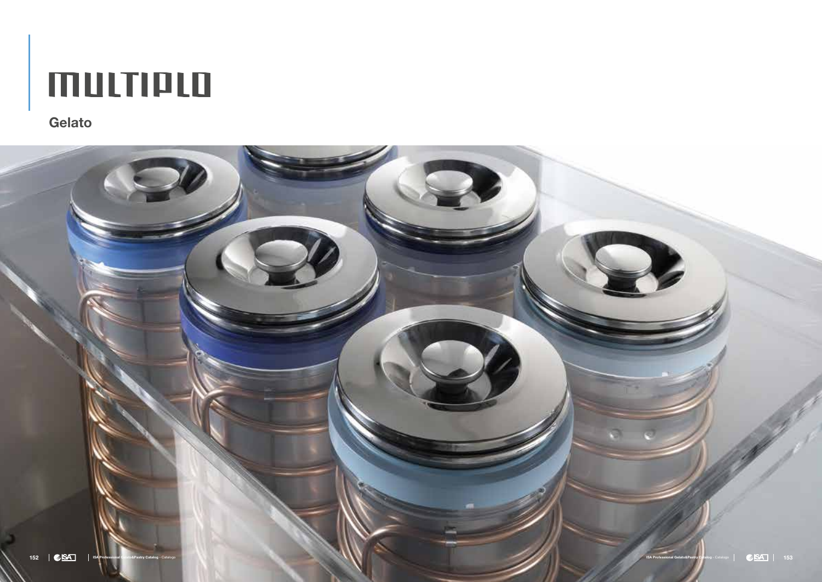

# multiplo

Gelato